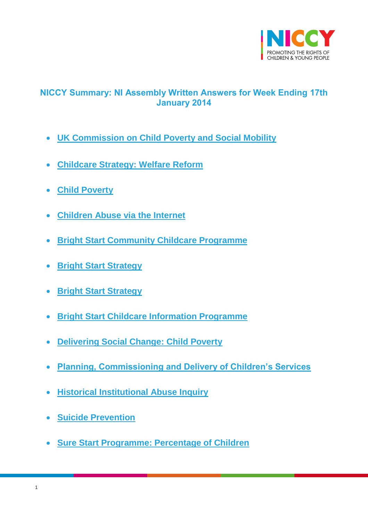

# <span id="page-0-0"></span>**NICCY Summary: NI Assembly Written Answers for Week Ending 17th January 2014**

- **[UK Commission on Child Poverty and Social Mobility](#page-3-0)**
- **[Childcare Strategy: Welfare Reform](#page-3-1)**
- **[Child Poverty](#page-4-0)**
- **[Children Abuse via the Internet](#page-6-0)**
- **[Bright Start Community Childcare Programme](#page-7-0)**
- **[Bright Start Strategy](#page-7-1)**
- **[Bright Start Strategy](#page-7-2)**
- **[Bright Start Childcare Information Programme](#page-8-0)**
- **[Delivering Social Change: Child Poverty](#page-8-1)**
- **[Planning, Commissioning and Delivery of Children's Services](#page-9-0)**
- **[Historical Institutional Abuse Inquiry](#page-9-1)**
- **[Suicide Prevention](#page-10-0)**
- **[Sure Start Programme: Percentage of Children](#page-11-0)**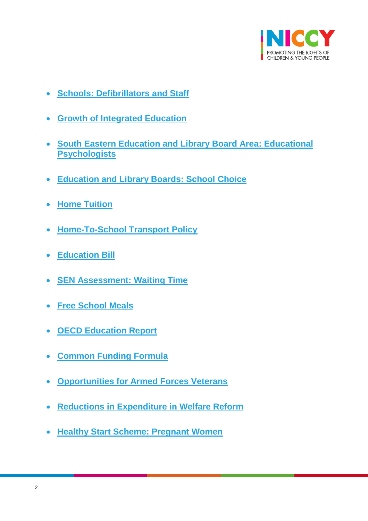

- **[Schools: Defibrillators and Staff](#page-12-0)**
- **[Growth of Integrated Education](#page-12-1)**
- **[South Eastern Education and Library Board Area: Educational](#page-13-0)  [Psychologists](#page-13-0)**
- **[Education and Library Boards: School Choice](#page-14-0)**
- **[Home Tuition](#page-14-1)**
- **[Home-To-School Transport Policy](#page-15-0)**
- **[Education Bill](#page-16-0)**
- **[SEN Assessment: Waiting Time](#page-16-1)**
- **[Free School Meals](#page-17-0)**
- **[OECD Education Report](#page-17-1)**
- **[Common Funding Formula](#page-18-0)**
- **Opportunities for [Armed Forces Veterans](#page-19-0)**
- **[Reductions in Expenditure in Welfare Reform](#page-20-0)**
- **[Healthy Start Scheme: Pregnant Women](#page-21-0)**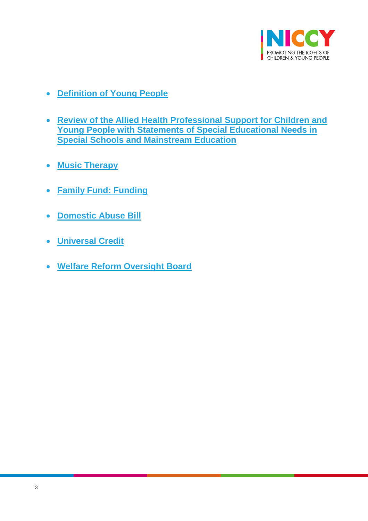

- **[Definition of Young People](#page-21-1)**
- **[Review of the Allied Health Professional Support for Children and](#page-22-0)  [Young People with Statements of Special Educational Needs in](#page-22-0)  [Special Schools and Mainstream Education](#page-22-0)**
- **[Music Therapy](#page-23-0)**
- **[Family Fund: Funding](#page-23-1)**
- **[Domestic Abuse Bill](#page-23-2)**
- **[Universal Credit](#page-24-0)**
- **[Welfare Reform Oversight Board](#page-25-0)**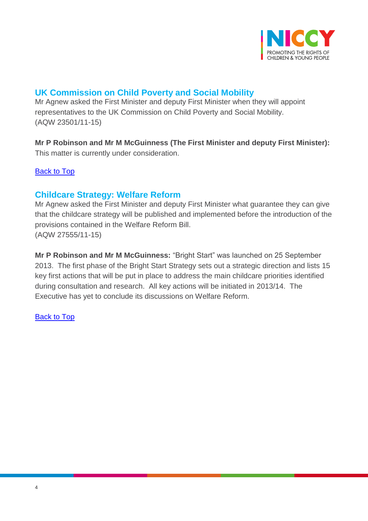

# <span id="page-3-0"></span>**UK Commission on Child Poverty and Social Mobility**

Mr Agnew asked the First Minister and deputy First Minister when they will appoint representatives to the UK Commission on Child Poverty and Social Mobility. (AQW 23501/11-15)

**Mr P Robinson and Mr M McGuinness (The First Minister and deputy First Minister):** This matter is currently under consideration.

**[Back to Top](#page-0-0)** 

## <span id="page-3-1"></span>**Childcare Strategy: Welfare Reform**

Mr Agnew asked the First Minister and deputy First Minister what guarantee they can give that the childcare strategy will be published and implemented before the introduction of the provisions contained in the Welfare Reform Bill. (AQW 27555/11-15)

**Mr P Robinson and Mr M McGuinness:** "Bright Start" was launched on 25 September 2013. The first phase of the Bright Start Strategy sets out a strategic direction and lists 15 key first actions that will be put in place to address the main childcare priorities identified during consultation and research. All key actions will be initiated in 2013/14. The Executive has yet to conclude its discussions on Welfare Reform.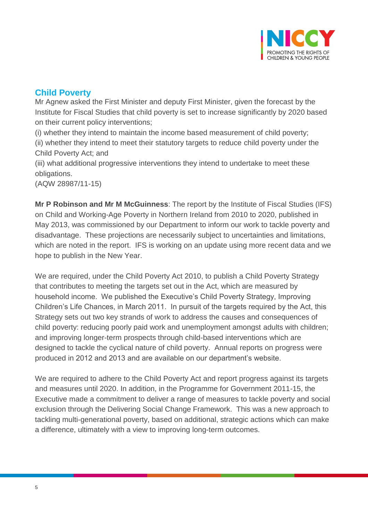

# <span id="page-4-0"></span>**Child Poverty**

Mr Agnew asked the First Minister and deputy First Minister, given the forecast by the Institute for Fiscal Studies that child poverty is set to increase significantly by 2020 based on their current policy interventions;

(i) whether they intend to maintain the income based measurement of child poverty; (ii) whether they intend to meet their statutory targets to reduce child poverty under the Child Poverty Act; and

(iii) what additional progressive interventions they intend to undertake to meet these obligations.

(AQW 28987/11-15)

**Mr P Robinson and Mr M McGuinness**: The report by the Institute of Fiscal Studies (IFS) on Child and Working-Age Poverty in Northern Ireland from 2010 to 2020, published in May 2013, was commissioned by our Department to inform our work to tackle poverty and disadvantage. These projections are necessarily subject to uncertainties and limitations, which are noted in the report. IFS is working on an update using more recent data and we hope to publish in the New Year.

We are required, under the Child Poverty Act 2010, to publish a Child Poverty Strategy that contributes to meeting the targets set out in the Act, which are measured by household income. We published the Executive's Child Poverty Strategy, Improving Children's Life Chances, in March 2011. In pursuit of the targets required by the Act, this Strategy sets out two key strands of work to address the causes and consequences of child poverty: reducing poorly paid work and unemployment amongst adults with children; and improving longer-term prospects through child-based interventions which are designed to tackle the cyclical nature of child poverty. Annual reports on progress were produced in 2012 and 2013 and are available on our department's website.

We are required to adhere to the Child Poverty Act and report progress against its targets and measures until 2020. In addition, in the Programme for Government 2011-15, the Executive made a commitment to deliver a range of measures to tackle poverty and social exclusion through the Delivering Social Change Framework. This was a new approach to tackling multi-generational poverty, based on additional, strategic actions which can make a difference, ultimately with a view to improving long-term outcomes.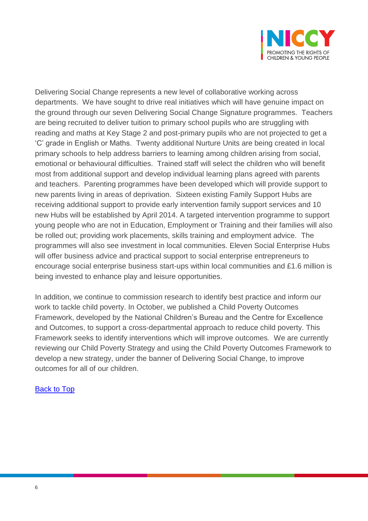

Delivering Social Change represents a new level of collaborative working across departments. We have sought to drive real initiatives which will have genuine impact on the ground through our seven Delivering Social Change Signature programmes. Teachers are being recruited to deliver tuition to primary school pupils who are struggling with reading and maths at Key Stage 2 and post-primary pupils who are not projected to get a 'C' grade in English or Maths. Twenty additional Nurture Units are being created in local primary schools to help address barriers to learning among children arising from social, emotional or behavioural difficulties. Trained staff will select the children who will benefit most from additional support and develop individual learning plans agreed with parents and teachers. Parenting programmes have been developed which will provide support to new parents living in areas of deprivation. Sixteen existing Family Support Hubs are receiving additional support to provide early intervention family support services and 10 new Hubs will be established by April 2014. A targeted intervention programme to support young people who are not in Education, Employment or Training and their families will also be rolled out; providing work placements, skills training and employment advice. The programmes will also see investment in local communities. Eleven Social Enterprise Hubs will offer business advice and practical support to social enterprise entrepreneurs to encourage social enterprise business start-ups within local communities and £1.6 million is being invested to enhance play and leisure opportunities.

In addition, we continue to commission research to identify best practice and inform our work to tackle child poverty. In October, we published a Child Poverty Outcomes Framework, developed by the National Children's Bureau and the Centre for Excellence and Outcomes, to support a cross-departmental approach to reduce child poverty. This Framework seeks to identify interventions which will improve outcomes. We are currently reviewing our Child Poverty Strategy and using the Child Poverty Outcomes Framework to develop a new strategy, under the banner of Delivering Social Change, to improve outcomes for all of our children.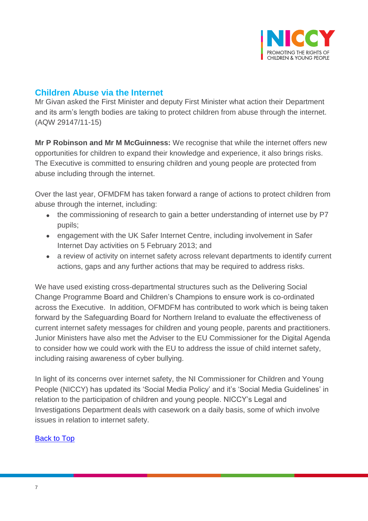

# <span id="page-6-0"></span>**Children Abuse via the Internet**

Mr Givan asked the First Minister and deputy First Minister what action their Department and its arm's length bodies are taking to protect children from abuse through the internet. (AQW 29147/11-15)

**Mr P Robinson and Mr M McGuinness:** We recognise that while the internet offers new opportunities for children to expand their knowledge and experience, it also brings risks. The Executive is committed to ensuring children and young people are protected from abuse including through the internet.

Over the last year, OFMDFM has taken forward a range of actions to protect children from abuse through the internet, including:

- the commissioning of research to gain a better understanding of internet use by P7 pupils;
- engagement with the UK Safer Internet Centre, including involvement in Safer Internet Day activities on 5 February 2013; and
- a review of activity on internet safety across relevant departments to identify current actions, gaps and any further actions that may be required to address risks.

We have used existing cross-departmental structures such as the Delivering Social Change Programme Board and Children's Champions to ensure work is co-ordinated across the Executive. In addition, OFMDFM has contributed to work which is being taken forward by the Safeguarding Board for Northern Ireland to evaluate the effectiveness of current internet safety messages for children and young people, parents and practitioners. Junior Ministers have also met the Adviser to the EU Commissioner for the Digital Agenda to consider how we could work with the EU to address the issue of child internet safety, including raising awareness of cyber bullying.

In light of its concerns over internet safety, the NI Commissioner for Children and Young People (NICCY) has updated its 'Social Media Policy' and it's 'Social Media Guidelines' in relation to the participation of children and young people. NICCY's Legal and Investigations Department deals with casework on a daily basis, some of which involve issues in relation to internet safety.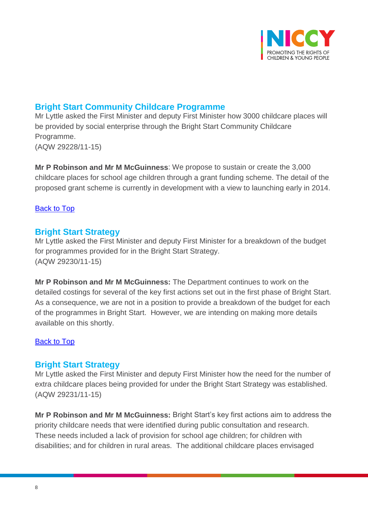

## <span id="page-7-0"></span>**Bright Start Community Childcare Programme**

Mr Lyttle asked the First Minister and deputy First Minister how 3000 childcare places will be provided by social enterprise through the Bright Start Community Childcare Programme. (AQW 29228/11-15)

**Mr P Robinson and Mr M McGuinness**: We propose to sustain or create the 3,000 childcare places for school age children through a grant funding scheme. The detail of the proposed grant scheme is currently in development with a view to launching early in 2014.

## [Back to Top](#page-0-0)

## <span id="page-7-1"></span>**Bright Start Strategy**

Mr Lyttle asked the First Minister and deputy First Minister for a breakdown of the budget for programmes provided for in the Bright Start Strategy. (AQW 29230/11-15)

**Mr P Robinson and Mr M McGuinness:** The Department continues to work on the detailed costings for several of the key first actions set out in the first phase of Bright Start. As a consequence, we are not in a position to provide a breakdown of the budget for each of the programmes in Bright Start. However, we are intending on making more details available on this shortly.

#### [Back to Top](#page-0-0)

## <span id="page-7-2"></span>**Bright Start Strategy**

Mr Lyttle asked the First Minister and deputy First Minister how the need for the number of extra childcare places being provided for under the Bright Start Strategy was established. (AQW 29231/11-15)

**Mr P Robinson and Mr M McGuinness:** Bright Start's key first actions aim to address the priority childcare needs that were identified during public consultation and research. These needs included a lack of provision for school age children; for children with disabilities; and for children in rural areas. The additional childcare places envisaged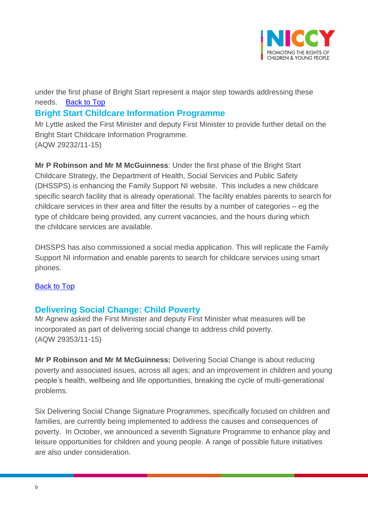

under the first phase of Bright Start represent a major step towards addressing these needs. [Back to Top](#page-0-0)

# <span id="page-8-0"></span>**Bright Start Childcare Information Programme**

Mr Lyttle asked the First Minister and deputy First Minister to provide further detail on the Bright Start Childcare Information Programme. (AQW 29232/11-15)

**Mr P Robinson and Mr M McGuinness**: Under the first phase of the Bright Start Childcare Strategy, the Department of Health, Social Services and Public Safety (DHSSPS) is enhancing the Family Support NI website. This includes a new childcare specific search facility that is already operational. The facility enables parents to search for childcare services in their area and filter the results by a number of categories – eg the type of childcare being provided, any current vacancies, and the hours during which the childcare services are available.

DHSSPS has also commissioned a social media application. This will replicate the Family Support NI information and enable parents to search for childcare services using smart phones.

## [Back to](#page-0-0) Top

# <span id="page-8-1"></span>**Delivering Social Change: Child Poverty**

Mr Agnew asked the First Minister and deputy First Minister what measures will be incorporated as part of delivering social change to address child poverty. (AQW 29353/11-15)

**Mr P Robinson and Mr M McGuinness:** Delivering Social Change is about reducing poverty and associated issues, across all ages; and an improvement in children and young people's health, wellbeing and life opportunities, breaking the cycle of multi-generational problems.

Six Delivering Social Change Signature Programmes, specifically focused on children and families, are currently being implemented to address the causes and consequences of poverty. In October, we announced a seventh Signature Programme to enhance play and leisure opportunities for children and young people. A range of possible future initiatives are also under consideration.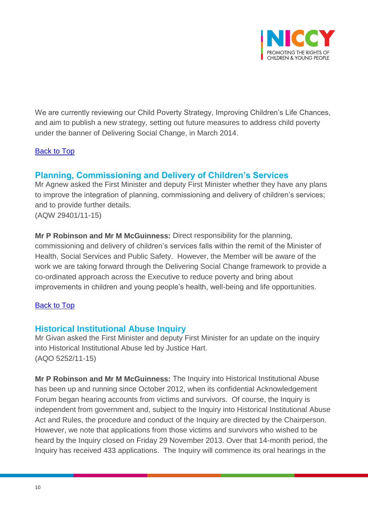

We are currently reviewing our Child Poverty Strategy, Improving Children's Life Chances, and aim to publish a new strategy, setting out future measures to address child poverty under the banner of Delivering Social Change, in March 2014.

## **[Back to Top](#page-0-0)**

## <span id="page-9-0"></span>**Planning, Commissioning and Delivery of Children's Services**

Mr Agnew asked the First Minister and deputy First Minister whether they have any plans to improve the integration of planning, commissioning and delivery of children's services; and to provide further details. (AQW 29401/11-15)

**Mr P Robinson and Mr M McGuinness:** Direct responsibility for the planning, commissioning and delivery of children's services falls within the remit of the Minister of Health, Social Services and Public Safety. However, the Member will be aware of the work we are taking forward through the Delivering Social Change framework to provide a co-ordinated approach across the Executive to reduce poverty and bring about improvements in children and young people's health, well-being and life opportunities.

#### [Back to Top](#page-0-0)

## <span id="page-9-1"></span>**Historical Institutional Abuse Inquiry**

Mr Givan asked the First Minister and deputy First Minister for an update on the inquiry into Historical Institutional Abuse led by Justice Hart. (AQO 5252/11-15)

**Mr P Robinson and Mr M McGuinness:** The Inquiry into Historical Institutional Abuse has been up and running since October 2012, when its confidential Acknowledgement Forum began hearing accounts from victims and survivors. Of course, the Inquiry is independent from government and, subject to the Inquiry into Historical Institutional Abuse Act and Rules, the procedure and conduct of the Inquiry are directed by the Chairperson. However, we note that applications from those victims and survivors who wished to be heard by the Inquiry closed on Friday 29 November 2013. Over that 14-month period, the Inquiry has received 433 applications. The Inquiry will commence its oral hearings in the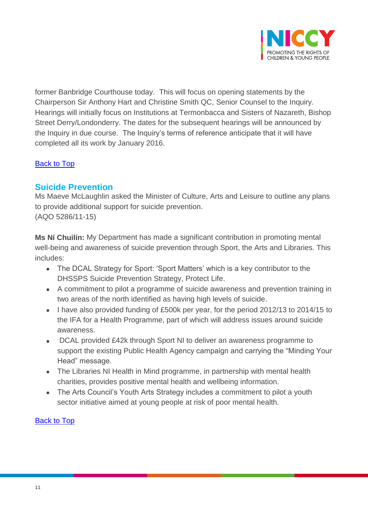

former Banbridge Courthouse today. This will focus on opening statements by the Chairperson Sir Anthony Hart and Christine Smith QC, Senior Counsel to the Inquiry. Hearings will initially focus on Institutions at Termonbacca and Sisters of Nazareth, Bishop Street Derry/Londonderry. The dates for the subsequent hearings will be announced by the Inquiry in due course. The Inquiry's terms of reference anticipate that it will have completed all its work by January 2016.

## <span id="page-10-0"></span>[Back to Top](#page-0-0)

## **Suicide Prevention**

Ms Maeve McLaughlin asked the Minister of Culture, Arts and Leisure to outline any plans to provide additional support for suicide prevention. (AQO 5286/11-15)

**Ms Ní Chuilín:** My Department has made a significant contribution in promoting mental well-being and awareness of suicide prevention through Sport, the Arts and Libraries. This includes:

- The DCAL Strategy for Sport: 'Sport Matters' which is a key contributor to the DHSSPS Suicide Prevention Strategy, Protect Life.
- A commitment to pilot a programme of suicide awareness and prevention training in two areas of the north identified as having high levels of suicide.
- I have also provided funding of £500k per year, for the period 2012/13 to 2014/15 to the IFA for a Health Programme, part of which will address issues around suicide awareness.
- DCAL provided £42k through Sport NI to deliver an awareness programme to support the existing Public Health Agency campaign and carrying the "Minding Your Head" message.
- The Libraries NI Health in Mind programme, in partnership with mental health charities, provides positive mental health and wellbeing information.
- The Arts Council's Youth Arts Strategy includes a commitment to pilot a youth sector initiative aimed at young people at risk of poor mental health.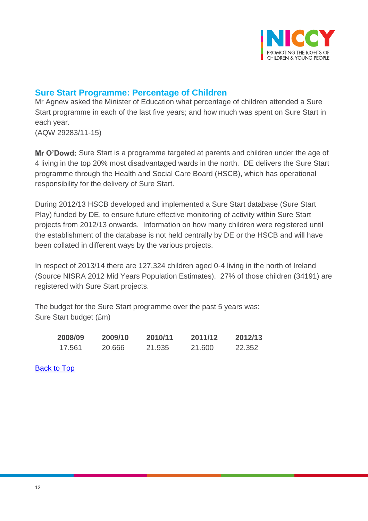

# <span id="page-11-0"></span>**Sure Start Programme: Percentage of Children**

Mr Agnew asked the Minister of Education what percentage of children attended a Sure Start programme in each of the last five years; and how much was spent on Sure Start in each year.

(AQW 29283/11-15)

**Mr O'Dowd:** Sure Start is a programme targeted at parents and children under the age of 4 living in the top 20% most disadvantaged wards in the north. DE delivers the Sure Start programme through the Health and Social Care Board (HSCB), which has operational responsibility for the delivery of Sure Start.

During 2012/13 HSCB developed and implemented a Sure Start database (Sure Start Play) funded by DE, to ensure future effective monitoring of activity within Sure Start projects from 2012/13 onwards. Information on how many children were registered until the establishment of the database is not held centrally by DE or the HSCB and will have been collated in different ways by the various projects.

In respect of 2013/14 there are 127,324 children aged 0-4 living in the north of Ireland (Source NISRA 2012 Mid Years Population Estimates). 27% of those children (34191) are registered with Sure Start projects.

The budget for the Sure Start programme over the past 5 years was: Sure Start budget (£m)

| 2008/09 | 2009/10 | 2010/11 | 2011/12 | 2012/13 |
|---------|---------|---------|---------|---------|
| 17.561  | 20.666  | 21.935  | 21.600  | 22.352  |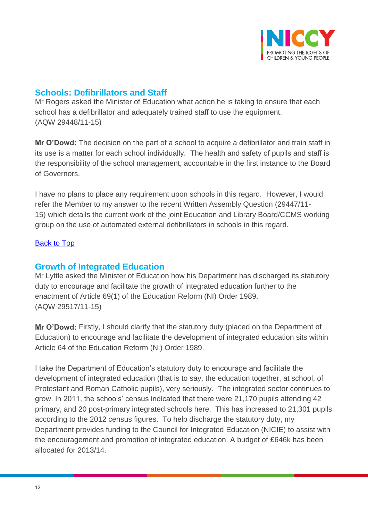

# <span id="page-12-0"></span>**Schools: Defibrillators and Staff**

Mr Rogers asked the Minister of Education what action he is taking to ensure that each school has a defibrillator and adequately trained staff to use the equipment. (AQW 29448/11-15)

**Mr O'Dowd:** The decision on the part of a school to acquire a defibrillator and train staff in its use is a matter for each school individually. The health and safety of pupils and staff is the responsibility of the school management, accountable in the first instance to the Board of Governors.

I have no plans to place any requirement upon schools in this regard. However, I would refer the Member to my answer to the recent Written Assembly Question (29447/11- 15) which details the current work of the joint Education and Library Board/CCMS working group on the use of automated external defibrillators in schools in this regard.

## [Back to Top](#page-0-0)

# <span id="page-12-1"></span>**Growth of Integrated Education**

Mr Lyttle asked the Minister of Education how his Department has discharged its statutory duty to encourage and facilitate the growth of integrated education further to the enactment of Article 69(1) of the Education Reform (NI) Order 1989. (AQW 29517/11-15)

**Mr O'Dowd:** Firstly, I should clarify that the statutory duty (placed on the Department of Education) to encourage and facilitate the development of integrated education sits within Article 64 of the Education Reform (NI) Order 1989.

I take the Department of Education's statutory duty to encourage and facilitate the development of integrated education (that is to say, the education together, at school, of Protestant and Roman Catholic pupils), very seriously. The integrated sector continues to grow. In 2011, the schools' census indicated that there were 21,170 pupils attending 42 primary, and 20 post-primary integrated schools here. This has increased to 21,301 pupils according to the 2012 census figures. To help discharge the statutory duty, my Department provides funding to the Council for Integrated Education (NICIE) to assist with the encouragement and promotion of integrated education. A budget of £646k has been allocated for 2013/14.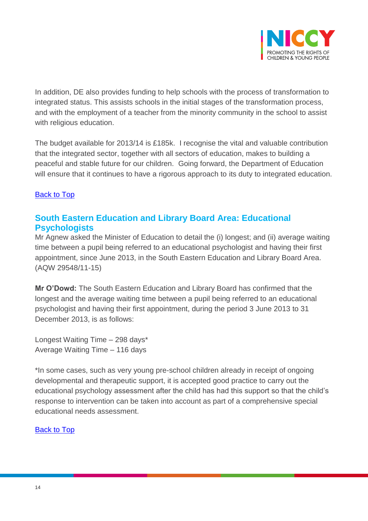

In addition, DE also provides funding to help schools with the process of transformation to integrated status. This assists schools in the initial stages of the transformation process, and with the employment of a teacher from the minority community in the school to assist with religious education.

The budget available for 2013/14 is £185k. I recognise the vital and valuable contribution that the integrated sector, together with all sectors of education, makes to building a peaceful and stable future for our children. Going forward, the Department of Education will ensure that it continues to have a rigorous approach to its duty to integrated education.

## [Back to Top](#page-0-0)

# <span id="page-13-0"></span>**South Eastern Education and Library Board Area: Educational Psychologists**

Mr Agnew asked the Minister of Education to detail the (i) longest; and (ii) average waiting time between a pupil being referred to an educational psychologist and having their first appointment, since June 2013, in the South Eastern Education and Library Board Area. (AQW 29548/11-15)

**Mr O'Dowd:** The South Eastern Education and Library Board has confirmed that the longest and the average waiting time between a pupil being referred to an educational psychologist and having their first appointment, during the period 3 June 2013 to 31 December 2013, is as follows:

Longest Waiting Time – 298 days\* Average Waiting Time – 116 days

\*In some cases, such as very young pre-school children already in receipt of ongoing developmental and therapeutic support, it is accepted good practice to carry out the educational psychology assessment after the child has had this support so that the child's response to intervention can be taken into account as part of a comprehensive special educational needs assessment.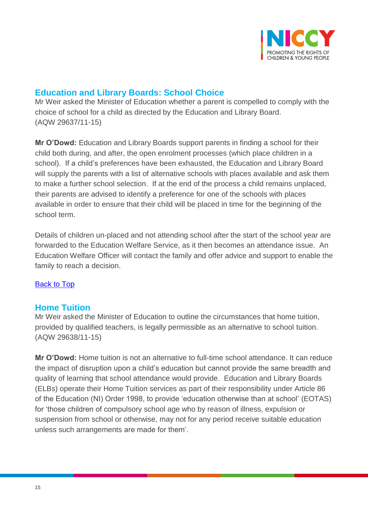

## <span id="page-14-0"></span>**Education and Library Boards: School Choice**

Mr Weir asked the Minister of Education whether a parent is compelled to comply with the choice of school for a child as directed by the Education and Library Board. (AQW 29637/11-15)

**Mr O'Dowd:** Education and Library Boards support parents in finding a school for their child both during, and after, the open enrolment processes (which place children in a school). If a child's preferences have been exhausted, the Education and Library Board will supply the parents with a list of alternative schools with places available and ask them to make a further school selection. If at the end of the process a child remains unplaced, their parents are advised to identify a preference for one of the schools with places available in order to ensure that their child will be placed in time for the beginning of the school term.

Details of children un-placed and not attending school after the start of the school year are forwarded to the Education Welfare Service, as it then becomes an attendance issue. An Education Welfare Officer will contact the family and offer advice and support to enable the family to reach a decision.

## [Back to Top](#page-0-0)

## <span id="page-14-1"></span>**Home Tuition**

Mr Weir asked the Minister of Education to outline the circumstances that home tuition, provided by qualified teachers, is legally permissible as an alternative to school tuition. (AQW 29638/11-15)

**Mr O'Dowd:** Home tuition is not an alternative to full-time school attendance. It can reduce the impact of disruption upon a child's education but cannot provide the same breadth and quality of learning that school attendance would provide. Education and Library Boards (ELBs) operate their Home Tuition services as part of their responsibility under Article 86 of the Education (NI) Order 1998, to provide 'education otherwise than at school' (EOTAS) for 'those children of compulsory school age who by reason of illness, expulsion or suspension from school or otherwise, may not for any period receive suitable education unless such arrangements are made for them'.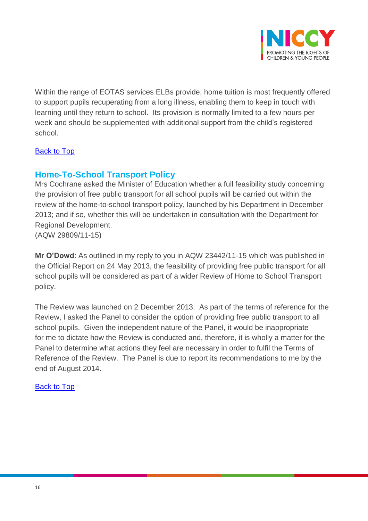

Within the range of EOTAS services ELBs provide, home tuition is most frequently offered to support pupils recuperating from a long illness, enabling them to keep in touch with learning until they return to school. Its provision is normally limited to a few hours per week and should be supplemented with additional support from the child's registered school.

## **[Back to Top](#page-0-0)**

# <span id="page-15-0"></span>**Home-To-School Transport Policy**

Mrs Cochrane asked the Minister of Education whether a full feasibility study concerning the provision of free public transport for all school pupils will be carried out within the review of the home-to-school transport policy, launched by his Department in December 2013; and if so, whether this will be undertaken in consultation with the Department for Regional Development.

(AQW 29809/11-15)

**Mr O'Dowd**: As outlined in my reply to you in AQW 23442/11-15 which was published in the Official Report on 24 May 2013, the feasibility of providing free public transport for all school pupils will be considered as part of a wider Review of Home to School Transport policy.

The Review was launched on 2 December 2013. As part of the terms of reference for the Review, I asked the Panel to consider the option of providing free public transport to all school pupils. Given the independent nature of the Panel, it would be inappropriate for me to dictate how the Review is conducted and, therefore, it is wholly a matter for the Panel to determine what actions they feel are necessary in order to fulfil the Terms of Reference of the Review. The Panel is due to report its recommendations to me by the end of August 2014.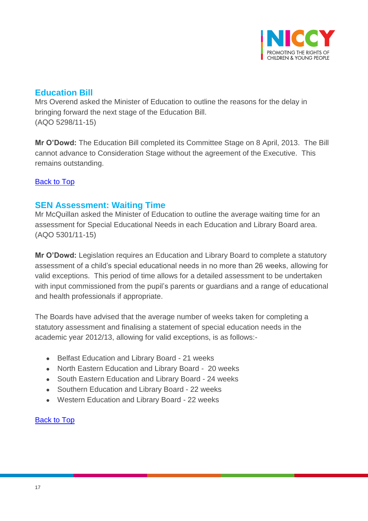

## <span id="page-16-0"></span>**Education Bill**

Mrs Overend asked the Minister of Education to outline the reasons for the delay in bringing forward the next stage of the Education Bill. (AQO 5298/11-15)

**Mr O'Dowd:** The Education Bill completed its Committee Stage on 8 April, 2013. The Bill cannot advance to Consideration Stage without the agreement of the Executive. This remains outstanding.

## [Back to Top](#page-0-0)

## <span id="page-16-1"></span>**SEN Assessment: Waiting Time**

Mr McQuillan asked the Minister of Education to outline the average waiting time for an assessment for Special Educational Needs in each Education and Library Board area. (AQO 5301/11-15)

**Mr O'Dowd:** Legislation requires an Education and Library Board to complete a statutory assessment of a child's special educational needs in no more than 26 weeks, allowing for valid exceptions. This period of time allows for a detailed assessment to be undertaken with input commissioned from the pupil's parents or guardians and a range of educational and health professionals if appropriate.

The Boards have advised that the average number of weeks taken for completing a statutory assessment and finalising a statement of special education needs in the academic year 2012/13, allowing for valid exceptions, is as follows:-

- Belfast Education and Library Board 21 weeks
- North Eastern Education and Library Board 20 weeks
- South Eastern Education and Library Board 24 weeks
- Southern Education and Library Board 22 weeks
- Western Education and Library Board 22 weeks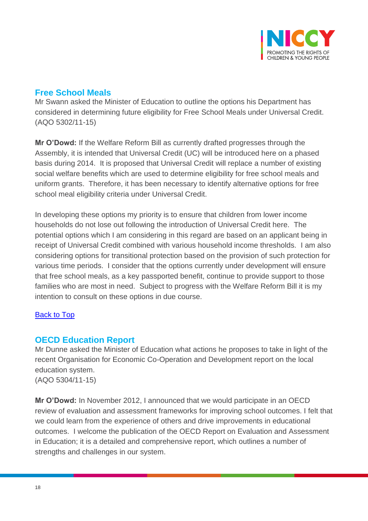

# <span id="page-17-0"></span>**Free School Meals**

Mr Swann asked the Minister of Education to outline the options his Department has considered in determining future eligibility for Free School Meals under Universal Credit. (AQO 5302/11-15)

**Mr O'Dowd:** If the Welfare Reform Bill as currently drafted progresses through the Assembly, it is intended that Universal Credit (UC) will be introduced here on a phased basis during 2014. It is proposed that Universal Credit will replace a number of existing social welfare benefits which are used to determine eligibility for free school meals and uniform grants. Therefore, it has been necessary to identify alternative options for free school meal eligibility criteria under Universal Credit.

In developing these options my priority is to ensure that children from lower income households do not lose out following the introduction of Universal Credit here. The potential options which I am considering in this regard are based on an applicant being in receipt of Universal Credit combined with various household income thresholds. I am also considering options for transitional protection based on the provision of such protection for various time periods. I consider that the options currently under development will ensure that free school meals, as a key passported benefit, continue to provide support to those families who are most in need. Subject to progress with the Welfare Reform Bill it is my intention to consult on these options in due course.

## [Back to Top](#page-0-0)

## <span id="page-17-1"></span>**OECD Education Report**

Mr Dunne asked the Minister of Education what actions he proposes to take in light of the recent Organisation for Economic Co-Operation and Development report on the local education system. (AQO 5304/11-15)

**Mr O'Dowd:** In November 2012, I announced that we would participate in an OECD review of evaluation and assessment frameworks for improving school outcomes. I felt that we could learn from the experience of others and drive improvements in educational outcomes. I welcome the publication of the OECD Report on Evaluation and Assessment in Education; it is a detailed and comprehensive report, which outlines a number of strengths and challenges in our system.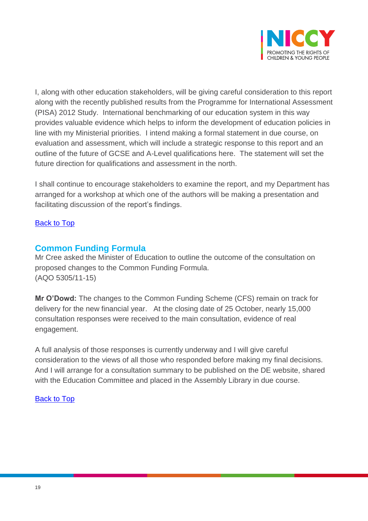

I, along with other education stakeholders, will be giving careful consideration to this report along with the recently published results from the Programme for International Assessment (PISA) 2012 Study. International benchmarking of our education system in this way provides valuable evidence which helps to inform the development of education policies in line with my Ministerial priorities. I intend making a formal statement in due course, on evaluation and assessment, which will include a strategic response to this report and an outline of the future of GCSE and A-Level qualifications here. The statement will set the future direction for qualifications and assessment in the north.

I shall continue to encourage stakeholders to examine the report, and my Department has arranged for a workshop at which one of the authors will be making a presentation and facilitating discussion of the report's findings.

#### [Back to Top](#page-0-0)

## <span id="page-18-0"></span>**Common Funding Formula**

Mr Cree asked the Minister of Education to outline the outcome of the consultation on proposed changes to the Common Funding Formula. (AQO 5305/11-15)

**Mr O'Dowd:** The changes to the Common Funding Scheme (CFS) remain on track for delivery for the new financial year. At the closing date of 25 October, nearly 15,000 consultation responses were received to the main consultation, evidence of real engagement.

A full analysis of those responses is currently underway and I will give careful consideration to the views of all those who responded before making my final decisions. And I will arrange for a consultation summary to be published on the DE website, shared with the Education Committee and placed in the Assembly Library in due course.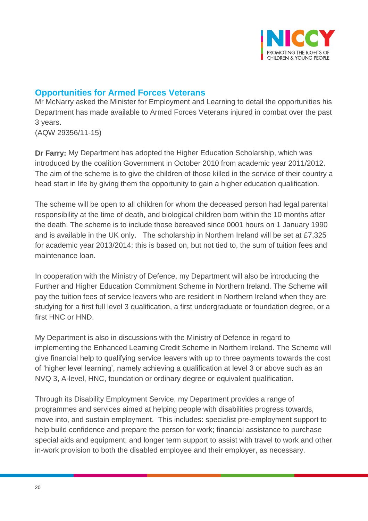

## <span id="page-19-0"></span>**Opportunities for Armed Forces Veterans**

Mr McNarry asked the Minister for Employment and Learning to detail the opportunities his Department has made available to Armed Forces Veterans injured in combat over the past 3 years. (AQW 29356/11-15)

**Dr Farry:** My Department has adopted the Higher Education Scholarship, which was introduced by the coalition Government in October 2010 from academic year 2011/2012. The aim of the scheme is to give the children of those killed in the service of their country a head start in life by giving them the opportunity to gain a higher education qualification.

The scheme will be open to all children for whom the deceased person had legal parental responsibility at the time of death, and biological children born within the 10 months after the death. The scheme is to include those bereaved since 0001 hours on 1 January 1990 and is available in the UK only. The scholarship in Northern Ireland will be set at £7,325 for academic year 2013/2014; this is based on, but not tied to, the sum of tuition fees and maintenance loan.

In cooperation with the Ministry of Defence, my Department will also be introducing the Further and Higher Education Commitment Scheme in Northern Ireland. The Scheme will pay the tuition fees of service leavers who are resident in Northern Ireland when they are studying for a first full level 3 qualification, a first undergraduate or foundation degree, or a first HNC or HND.

My Department is also in discussions with the Ministry of Defence in regard to implementing the Enhanced Learning Credit Scheme in Northern Ireland. The Scheme will give financial help to qualifying service leavers with up to three payments towards the cost of 'higher level learning', namely achieving a qualification at level 3 or above such as an NVQ 3, A-level, HNC, foundation or ordinary degree or equivalent qualification.

Through its Disability Employment Service, my Department provides a range of programmes and services aimed at helping people with disabilities progress towards, move into, and sustain employment. This includes: specialist pre-employment support to help build confidence and prepare the person for work; financial assistance to purchase special aids and equipment; and longer term support to assist with travel to work and other in-work provision to both the disabled employee and their employer, as necessary.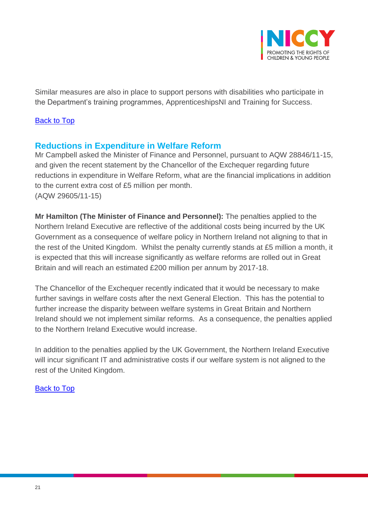

Similar measures are also in place to support persons with disabilities who participate in the Department's training programmes, ApprenticeshipsNI and Training for Success.

#### [Back to Top](#page-0-0)

## <span id="page-20-0"></span>**Reductions in Expenditure in Welfare Reform**

Mr Campbell asked the Minister of Finance and Personnel, pursuant to AQW 28846/11-15, and given the recent statement by the Chancellor of the Exchequer regarding future reductions in expenditure in Welfare Reform, what are the financial implications in addition to the current extra cost of £5 million per month. (AQW 29605/11-15)

**Mr Hamilton (The Minister of Finance and Personnel):** The penalties applied to the Northern Ireland Executive are reflective of the additional costs being incurred by the UK Government as a consequence of welfare policy in Northern Ireland not aligning to that in the rest of the United Kingdom. Whilst the penalty currently stands at £5 million a month, it is expected that this will increase significantly as welfare reforms are rolled out in Great Britain and will reach an estimated £200 million per annum by 2017-18.

The Chancellor of the Exchequer recently indicated that it would be necessary to make further savings in welfare costs after the next General Election. This has the potential to further increase the disparity between welfare systems in Great Britain and Northern Ireland should we not implement similar reforms. As a consequence, the penalties applied to the Northern Ireland Executive would increase.

In addition to the penalties applied by the UK Government, the Northern Ireland Executive will incur significant IT and administrative costs if our welfare system is not aligned to the rest of the United Kingdom.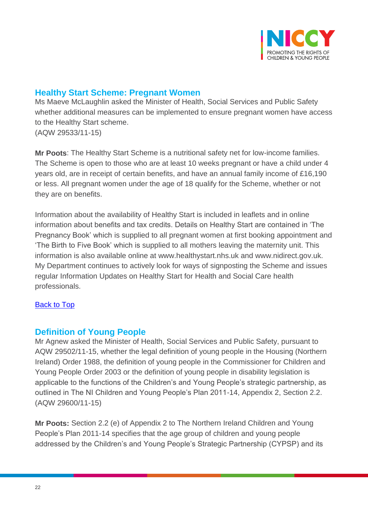

# <span id="page-21-0"></span>**Healthy Start Scheme: Pregnant Women**

Ms Maeve McLaughlin asked the Minister of Health, Social Services and Public Safety whether additional measures can be implemented to ensure pregnant women have access to the Healthy Start scheme. (AQW 29533/11-15)

**Mr Poots**: The Healthy Start Scheme is a nutritional safety net for low-income families. The Scheme is open to those who are at least 10 weeks pregnant or have a child under 4 years old, are in receipt of certain benefits, and have an annual family income of £16,190 or less. All pregnant women under the age of 18 qualify for the Scheme, whether or not they are on benefits.

Information about the availability of Healthy Start is included in leaflets and in online information about benefits and tax credits. Details on Healthy Start are contained in 'The Pregnancy Book' which is supplied to all pregnant women at first booking appointment and 'The Birth to Five Book' which is supplied to all mothers leaving the maternity unit. This information is also available online at www.healthystart.nhs.uk and www.nidirect.gov.uk. My Department continues to actively look for ways of signposting the Scheme and issues regular Information Updates on Healthy Start for Health and Social Care health professionals.

## <span id="page-21-1"></span>[Back to Top](#page-0-0)

## **Definition of Young People**

Mr Agnew asked the Minister of Health, Social Services and Public Safety, pursuant to AQW 29502/11-15, whether the legal definition of young people in the Housing (Northern Ireland) Order 1988, the definition of young people in the Commissioner for Children and Young People Order 2003 or the definition of young people in disability legislation is applicable to the functions of the Children's and Young People's strategic partnership, as outlined in The NI Children and Young People's Plan 2011-14, Appendix 2, Section 2.2. (AQW 29600/11-15)

**Mr Poots:** Section 2.2 (e) of Appendix 2 to The Northern Ireland Children and Young People's Plan 2011-14 specifies that the age group of children and young people addressed by the Children's and Young People's Strategic Partnership (CYPSP) and its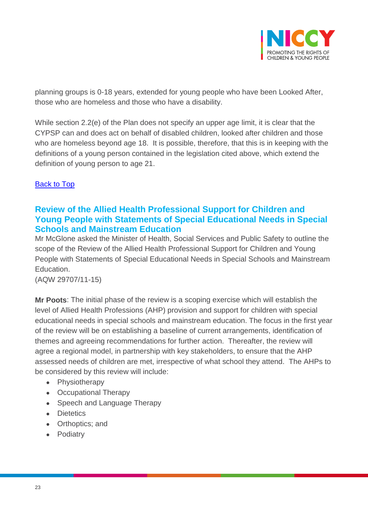

planning groups is 0-18 years, extended for young people who have been Looked After, those who are homeless and those who have a disability.

While section 2.2(e) of the Plan does not specify an upper age limit, it is clear that the CYPSP can and does act on behalf of disabled children, looked after children and those who are homeless beyond age 18. It is possible, therefore, that this is in keeping with the definitions of a young person contained in the legislation cited above, which extend the definition of young person to age 21.

## **[Back to Top](#page-0-0)**

# <span id="page-22-0"></span>**Review of the Allied Health Professional Support for Children and Young People with Statements of Special Educational Needs in Special Schools and Mainstream Education**

Mr McGlone asked the Minister of Health, Social Services and Public Safety to outline the scope of the Review of the Allied Health Professional Support for Children and Young People with Statements of Special Educational Needs in Special Schools and Mainstream Education.

(AQW 29707/11-15)

**Mr Poots**: The initial phase of the review is a scoping exercise which will establish the level of Allied Health Professions (AHP) provision and support for children with special educational needs in special schools and mainstream education. The focus in the first year of the review will be on establishing a baseline of current arrangements, identification of themes and agreeing recommendations for further action. Thereafter, the review will agree a regional model, in partnership with key stakeholders, to ensure that the AHP assessed needs of children are met, irrespective of what school they attend. The AHPs to be considered by this review will include:

- Physiotherapy
- Occupational Therapy
- Speech and Language Therapy
- Dietetics
- Orthoptics; and
- Podiatry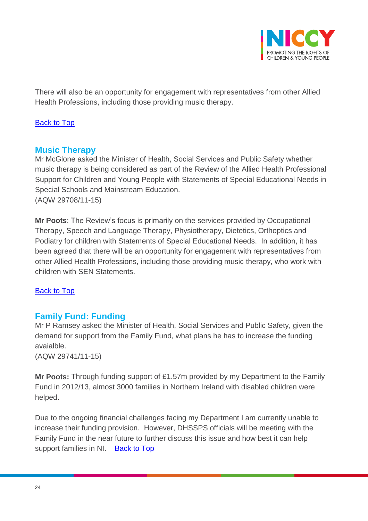

There will also be an opportunity for engagement with representatives from other Allied Health Professions, including those providing music therapy.

## <span id="page-23-0"></span>[Back to Top](#page-0-0)

## **Music Therapy**

Mr McGlone asked the Minister of Health, Social Services and Public Safety whether music therapy is being considered as part of the Review of the Allied Health Professional Support for Children and Young People with Statements of Special Educational Needs in Special Schools and Mainstream Education. (AQW 29708/11-15)

**Mr Poots**: The Review's focus is primarily on the services provided by Occupational Therapy, Speech and Language Therapy, Physiotherapy, Dietetics, Orthoptics and Podiatry for children with Statements of Special Educational Needs. In addition, it has been agreed that there will be an opportunity for engagement with representatives from other Allied Health Professions, including those providing music therapy, who work with children with SEN Statements.

#### [Back to Top](#page-0-0)

## <span id="page-23-1"></span>**Family Fund: Funding**

Mr P Ramsey asked the Minister of Health, Social Services and Public Safety, given the demand for support from the Family Fund, what plans he has to increase the funding avaialble.

(AQW 29741/11-15)

**Mr Poots:** Through funding support of £1.57m provided by my Department to the Family Fund in 2012/13, almost 3000 families in Northern Ireland with disabled children were helped.

<span id="page-23-2"></span>Due to the ongoing financial challenges facing my Department I am currently unable to increase their funding provision. However, DHSSPS officials will be meeting with the Family Fund in the near future to further discuss this issue and how best it can help support families in NI. [Back to Top](#page-0-0)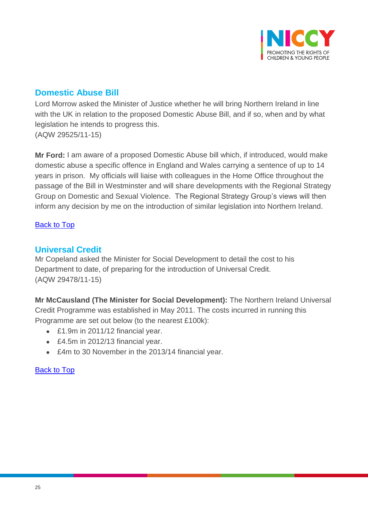

# **Domestic Abuse Bill**

Lord Morrow asked the Minister of Justice whether he will bring Northern Ireland in line with the UK in relation to the proposed Domestic Abuse Bill, and if so, when and by what legislation he intends to progress this. (AQW 29525/11-15)

**Mr Ford:** I am aware of a proposed Domestic Abuse bill which, if introduced, would make domestic abuse a specific offence in England and Wales carrying a sentence of up to 14 years in prison. My officials will liaise with colleagues in the Home Office throughout the passage of the Bill in Westminster and will share developments with the Regional Strategy Group on Domestic and Sexual Violence. The Regional Strategy Group's views will then inform any decision by me on the introduction of similar legislation into Northern Ireland.

## [Back to Top](#page-0-0)

## <span id="page-24-0"></span>**Universal Credit**

Mr Copeland asked the Minister for Social Development to detail the cost to his Department to date, of preparing for the introduction of Universal Credit. (AQW 29478/11-15)

**Mr McCausland (The Minister for Social Development):** The Northern Ireland Universal Credit Programme was established in May 2011. The costs incurred in running this Programme are set out below (to the nearest £100k):

- £1.9m in 2011/12 financial year.
- £4.5m in 2012/13 financial year.
- £4m to 30 November in the 2013/14 financial year.